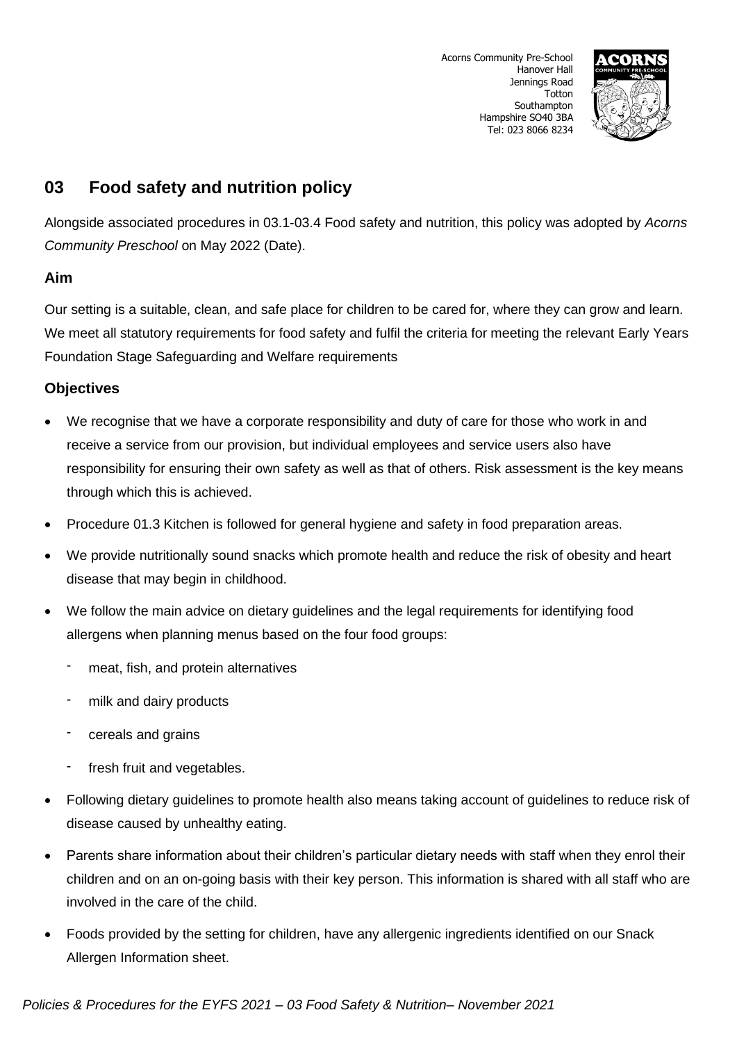

# **03 Food safety and nutrition policy**

Alongside associated procedures in 03.1-03.4 Food safety and nutrition, this policy was adopted by *Acorns Community Preschool* on May 2022 (Date).

## **Aim**

Our setting is a suitable, clean, and safe place for children to be cared for, where they can grow and learn. We meet all statutory requirements for food safety and fulfil the criteria for meeting the relevant Early Years Foundation Stage Safeguarding and Welfare requirements

## **Objectives**

- We recognise that we have a corporate responsibility and duty of care for those who work in and receive a service from our provision, but individual employees and service users also have responsibility for ensuring their own safety as well as that of others. Risk assessment is the key means through which this is achieved.
- Procedure 01.3 Kitchen is followed for general hygiene and safety in food preparation areas.
- We provide nutritionally sound snacks which promote health and reduce the risk of obesity and heart disease that may begin in childhood.
- We follow the main advice on dietary guidelines and the legal requirements for identifying food allergens when planning menus based on the four food groups:
	- meat, fish, and protein alternatives
	- milk and dairy products
	- cereals and grains
	- fresh fruit and vegetables.
- Following dietary guidelines to promote health also means taking account of guidelines to reduce risk of disease caused by unhealthy eating.
- Parents share information about their children's particular dietary needs with staff when they enrol their children and on an on-going basis with their key person. This information is shared with all staff who are involved in the care of the child.
- Foods provided by the setting for children, have any allergenic ingredients identified on our Snack Allergen Information sheet.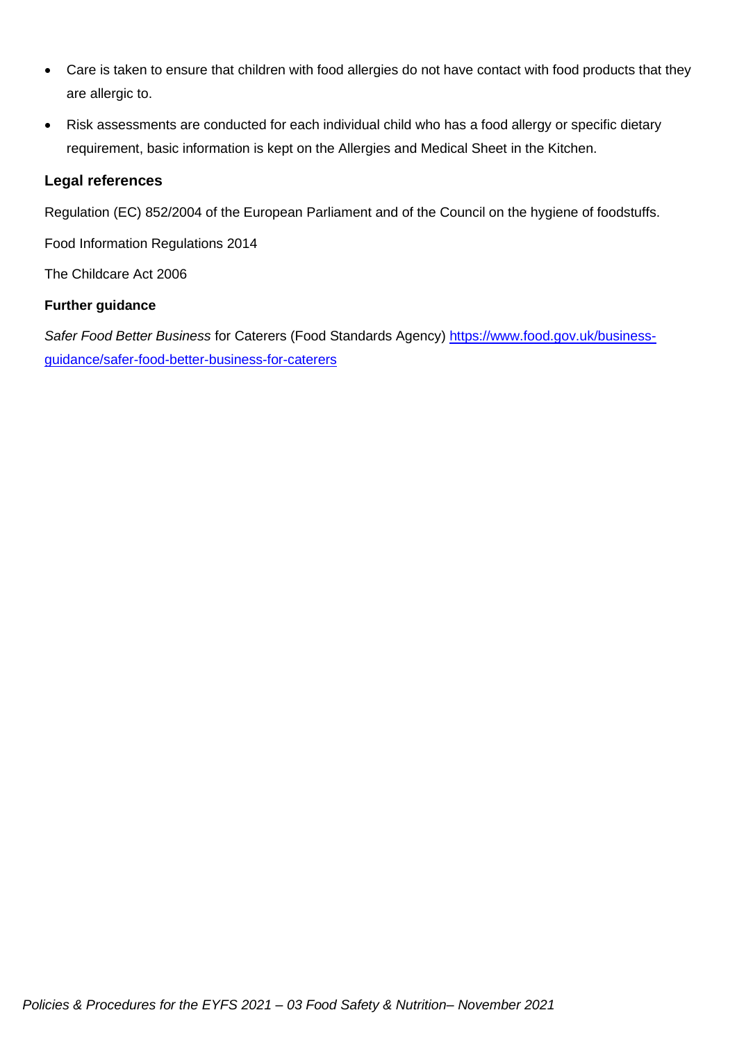- Care is taken to ensure that children with food allergies do not have contact with food products that they are allergic to.
- Risk assessments are conducted for each individual child who has a food allergy or specific dietary requirement, basic information is kept on the Allergies and Medical Sheet in the Kitchen.

## **Legal references**

Regulation (EC) 852/2004 of the European Parliament and of the Council on the hygiene of foodstuffs.

Food Information Regulations 2014

The Childcare Act 2006

## **Further guidance**

*Safer Food Better Business* for Caterers (Food Standards Agency) [https://www.food.gov.uk/business](https://www.food.gov.uk/business-guidance/safer-food-better-business-for-caterers)[guidance/safer-food-better-business-for-caterers](https://www.food.gov.uk/business-guidance/safer-food-better-business-for-caterers)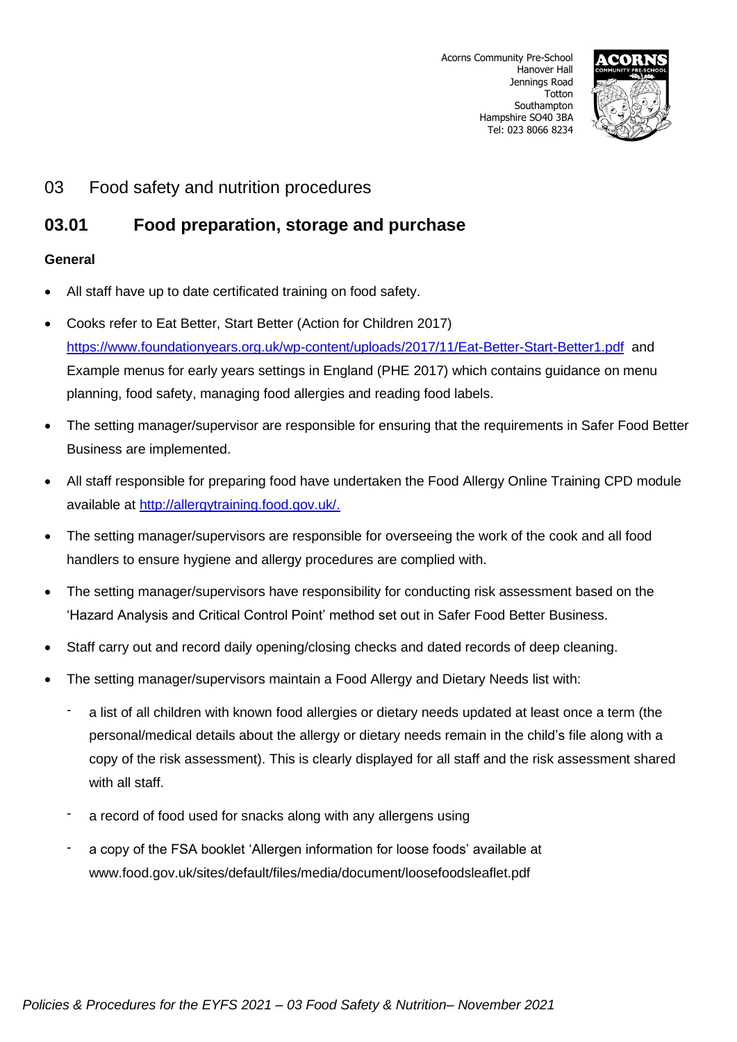

## 03 Food safety and nutrition procedures

# **03.01 Food preparation, storage and purchase**

### **General**

- All staff have up to date certificated training on food safety.
- Cooks refer to Eat Better, Start Better (Action for Children 2017) <https://www.foundationyears.org.uk/wp-content/uploads/2017/11/Eat-Better-Start-Better1.pdf> and Example menus for early years settings in England (PHE 2017) which contains guidance on menu planning, food safety, managing food allergies and reading food labels.
- The setting manager/supervisor are responsible for ensuring that the requirements in Safer Food Better Business are implemented.
- All staff responsible for preparing food have undertaken the Food Allergy Online Training CPD module available at [http://allergytraining.food.gov.uk/.](http://allergytraining.food.gov.uk/)
- The setting manager/supervisors are responsible for overseeing the work of the cook and all food handlers to ensure hygiene and allergy procedures are complied with.
- The setting manager/supervisors have responsibility for conducting risk assessment based on the 'Hazard Analysis and Critical Control Point' method set out in Safer Food Better Business.
- Staff carry out and record daily opening/closing checks and dated records of deep cleaning.
- The setting manager/supervisors maintain a Food Allergy and Dietary Needs list with:
	- a list of all children with known food allergies or dietary needs updated at least once a term (the personal/medical details about the allergy or dietary needs remain in the child's file along with a copy of the risk assessment). This is clearly displayed for all staff and the risk assessment shared with all staff.
	- a record of food used for snacks along with any allergens using
	- a copy of the FSA booklet 'Allergen information for loose foods' available at www.food.gov.uk/sites/default/files/media/document/loosefoodsleaflet.pdf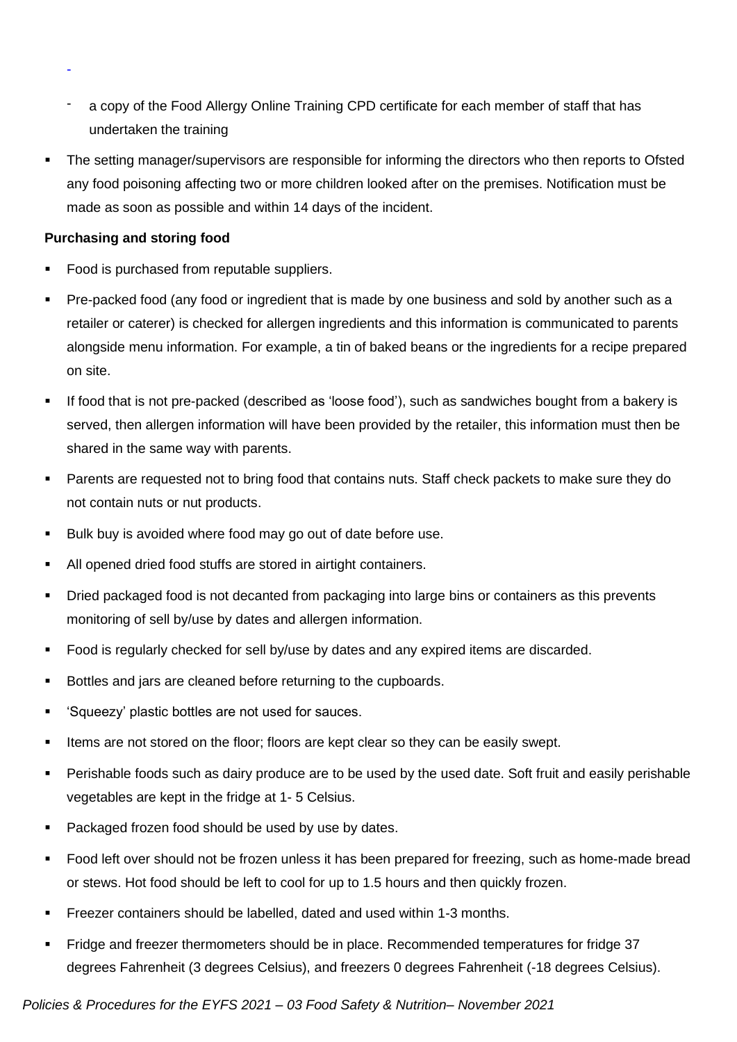- a copy of the Food Allergy Online Training CPD certificate for each member of staff that has undertaken the training
- The setting manager/supervisors are responsible for informing the directors who then reports to Ofsted any food poisoning affecting two or more children looked after on the premises. Notification must be made as soon as possible and within 14 days of the incident.

### **Purchasing and storing food**

-

- Food is purchased from reputable suppliers.
- Pre-packed food (any food or ingredient that is made by one business and sold by another such as a retailer or caterer) is checked for allergen ingredients and this information is communicated to parents alongside menu information. For example, a tin of baked beans or the ingredients for a recipe prepared on site.
- If food that is not pre-packed (described as 'loose food'), such as sandwiches bought from a bakery is served, then allergen information will have been provided by the retailer, this information must then be shared in the same way with parents.
- Parents are requested not to bring food that contains nuts. Staff check packets to make sure they do not contain nuts or nut products.
- Bulk buy is avoided where food may go out of date before use.
- All opened dried food stuffs are stored in airtight containers.
- Dried packaged food is not decanted from packaging into large bins or containers as this prevents monitoring of sell by/use by dates and allergen information.
- Food is regularly checked for sell by/use by dates and any expired items are discarded.
- Bottles and jars are cleaned before returning to the cupboards.
- 'Squeezy' plastic bottles are not used for sauces.
- Items are not stored on the floor; floors are kept clear so they can be easily swept.
- Perishable foods such as dairy produce are to be used by the used date. Soft fruit and easily perishable vegetables are kept in the fridge at 1- 5 Celsius.
- Packaged frozen food should be used by use by dates.
- Food left over should not be frozen unless it has been prepared for freezing, such as home-made bread or stews. Hot food should be left to cool for up to 1.5 hours and then quickly frozen.
- Freezer containers should be labelled, dated and used within 1-3 months.
- Fridge and freezer thermometers should be in place. Recommended temperatures for fridge 37 degrees Fahrenheit (3 degrees Celsius), and freezers 0 degrees Fahrenheit (-18 degrees Celsius).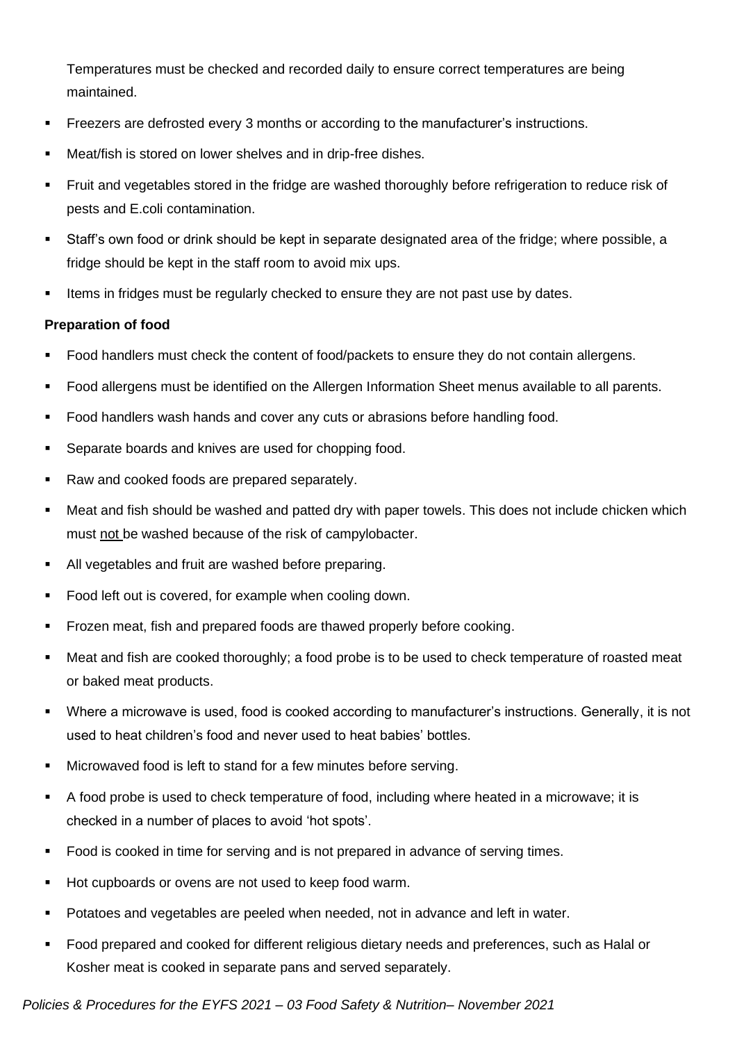Temperatures must be checked and recorded daily to ensure correct temperatures are being maintained.

- Freezers are defrosted every 3 months or according to the manufacturer's instructions.
- Meat/fish is stored on lower shelves and in drip-free dishes.
- Fruit and vegetables stored in the fridge are washed thoroughly before refrigeration to reduce risk of pests and E.coli contamination.
- Staff's own food or drink should be kept in separate designated area of the fridge; where possible, a fridge should be kept in the staff room to avoid mix ups.
- **.** Items in fridges must be regularly checked to ensure they are not past use by dates.

### **Preparation of food**

- Food handlers must check the content of food/packets to ensure they do not contain allergens.
- Food allergens must be identified on the Allergen Information Sheet menus available to all parents.
- Food handlers wash hands and cover any cuts or abrasions before handling food.
- Separate boards and knives are used for chopping food.
- Raw and cooked foods are prepared separately.
- Meat and fish should be washed and patted dry with paper towels. This does not include chicken which must not be washed because of the risk of campylobacter.
- All vegetables and fruit are washed before preparing.
- Food left out is covered, for example when cooling down.
- **•** Frozen meat, fish and prepared foods are thawed properly before cooking.
- Meat and fish are cooked thoroughly; a food probe is to be used to check temperature of roasted meat or baked meat products.
- Where a microwave is used, food is cooked according to manufacturer's instructions. Generally, it is not used to heat children's food and never used to heat babies' bottles.
- Microwaved food is left to stand for a few minutes before serving.
- A food probe is used to check temperature of food, including where heated in a microwave; it is checked in a number of places to avoid 'hot spots'.
- Food is cooked in time for serving and is not prepared in advance of serving times.
- Hot cupboards or ovens are not used to keep food warm.
- Potatoes and vegetables are peeled when needed, not in advance and left in water.
- Food prepared and cooked for different religious dietary needs and preferences, such as Halal or Kosher meat is cooked in separate pans and served separately.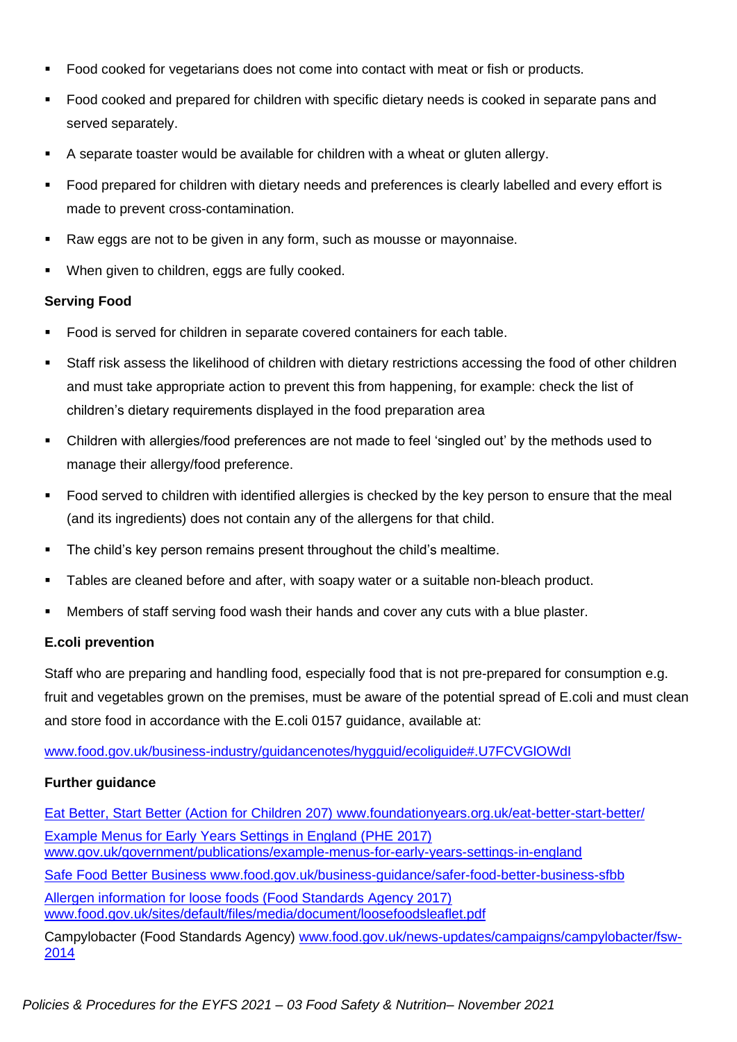- Food cooked for vegetarians does not come into contact with meat or fish or products.
- Food cooked and prepared for children with specific dietary needs is cooked in separate pans and served separately.
- A separate toaster would be available for children with a wheat or gluten allergy.
- Food prepared for children with dietary needs and preferences is clearly labelled and every effort is made to prevent cross-contamination.
- Raw eggs are not to be given in any form, such as mousse or mayonnaise.
- When given to children, eggs are fully cooked.

#### **Serving Food**

- Food is served for children in separate covered containers for each table.
- Staff risk assess the likelihood of children with dietary restrictions accessing the food of other children and must take appropriate action to prevent this from happening, for example: check the list of children's dietary requirements displayed in the food preparation area
- Children with allergies/food preferences are not made to feel 'singled out' by the methods used to manage their allergy/food preference.
- Food served to children with identified allergies is checked by the key person to ensure that the meal (and its ingredients) does not contain any of the allergens for that child.
- **•** The child's key person remains present throughout the child's mealtime.
- Tables are cleaned before and after, with soapy water or a suitable non-bleach product.
- Members of staff serving food wash their hands and cover any cuts with a blue plaster.

### **E.coli prevention**

Staff who are preparing and handling food, especially food that is not pre-prepared for consumption e.g. fruit and vegetables grown on the premises, must be aware of the potential spread of E.coli and must clean and store food in accordance with the E.coli 0157 guidance, available at:

#### [www.food.gov.uk/business-industry/guidancenotes/hygguid/ecoliguide#.U7FCVGlOWdI](https://preschoolla.sharepoint.com/sites/COMM/Shared%20Documents/Pubs/Pubs%20Print%20Promo/Pub%20Drafts/A026%20Policies%20&%20Procedures%20for%20the%20EYFS%202021/A026%20FINAL/www.food.gov.uk/business-industry/guidancenotes/hygguid/ecoliguide#.U7FCVGlOWdI)

#### **Further guidance**

Eat Better, Start Better (Action for Children 207) [www.foundationyears.org.uk/eat-better-start-better/](http://www.foundationyears.org.uk/eat-better-start-better/) Example Menus for Early Years Settings in England (PHE 2017) [www.gov.uk/government/publications/example-menus-for-early-years-settings-in-england](http://www.gov.uk/government/publications/example-menus-for-early-years-settings-in-england) Safe Food Better Business [www.food.gov.uk/business-guidance/safer-food-better-business-sfbb](http://www.food.gov.uk/business-guidance/safer-food-better-business-sfbb) Allergen information for loose foods (Food Standards Agency 2017) [www.food.gov.uk/sites/default/files/media/document/loosefoodsleaflet.pdf](http://www.food.gov.uk/sites/default/files/media/document/loosefoodsleaflet.pdfn)

Campylobacter (Food Standards Agency) [www.food.gov.uk/news-updates/campaigns/campylobacter/fsw-](http://www.food.gov.uk/news-updates/campaigns/campylobacter/fsw-2014)[2014](http://www.food.gov.uk/news-updates/campaigns/campylobacter/fsw-2014)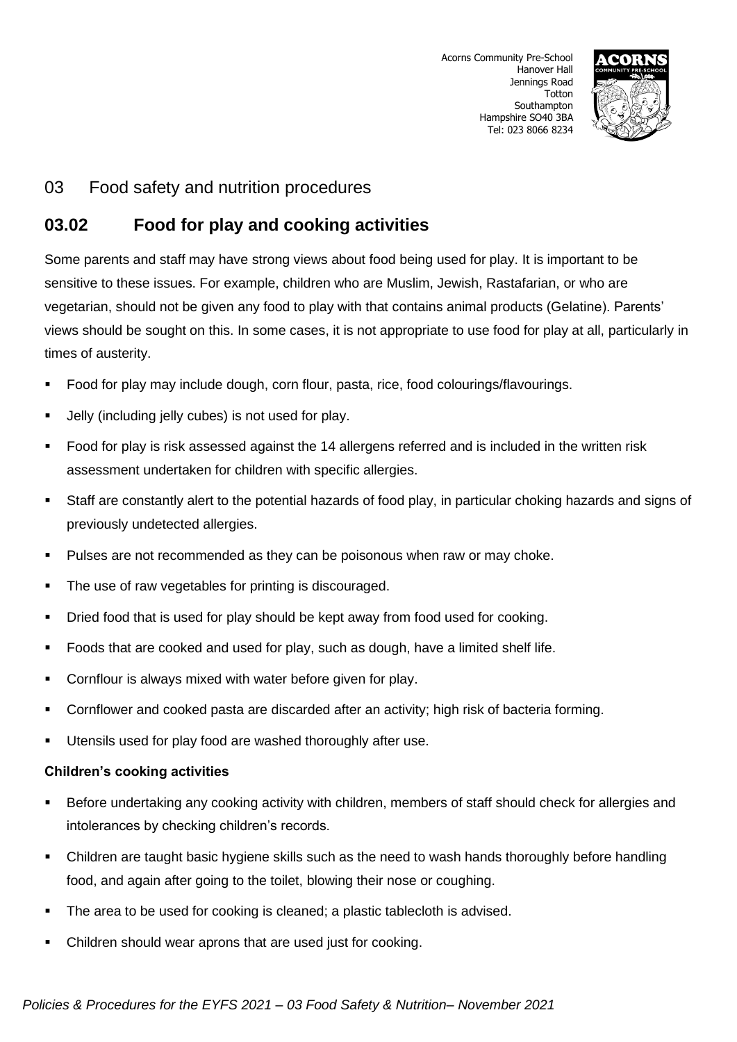

## 03 Food safety and nutrition procedures

## **03.02 Food for play and cooking activities**

Some parents and staff may have strong views about food being used for play. It is important to be sensitive to these issues. For example, children who are Muslim, Jewish, Rastafarian, or who are vegetarian, should not be given any food to play with that contains animal products (Gelatine). Parents' views should be sought on this. In some cases, it is not appropriate to use food for play at all, particularly in times of austerity.

- Food for play may include dough, corn flour, pasta, rice, food colourings/flavourings.
- Jelly (including jelly cubes) is not used for play.
- Food for play is risk assessed against the 14 allergens referred and is included in the written risk assessment undertaken for children with specific allergies.
- Staff are constantly alert to the potential hazards of food play, in particular choking hazards and signs of previously undetected allergies.
- Pulses are not recommended as they can be poisonous when raw or may choke.
- The use of raw vegetables for printing is discouraged.
- Dried food that is used for play should be kept away from food used for cooking.
- Foods that are cooked and used for play, such as dough, have a limited shelf life.
- Cornflour is always mixed with water before given for play.
- Cornflower and cooked pasta are discarded after an activity; high risk of bacteria forming.
- Utensils used for play food are washed thoroughly after use.

#### **Children's cooking activities**

- Before undertaking any cooking activity with children, members of staff should check for allergies and intolerances by checking children's records.
- **•** Children are taught basic hygiene skills such as the need to wash hands thoroughly before handling food, and again after going to the toilet, blowing their nose or coughing.
- The area to be used for cooking is cleaned; a plastic tablecloth is advised.
- Children should wear aprons that are used just for cooking.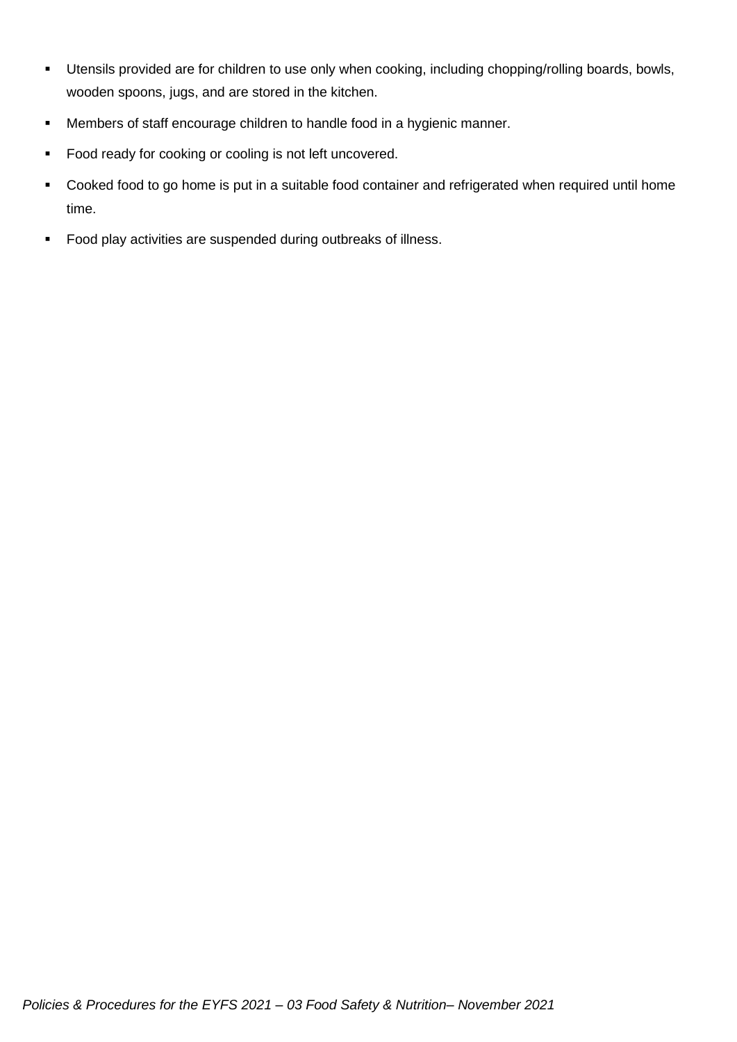- Utensils provided are for children to use only when cooking, including chopping/rolling boards, bowls, wooden spoons, jugs, and are stored in the kitchen.
- Members of staff encourage children to handle food in a hygienic manner.
- Food ready for cooking or cooling is not left uncovered.
- Cooked food to go home is put in a suitable food container and refrigerated when required until home time.
- Food play activities are suspended during outbreaks of illness.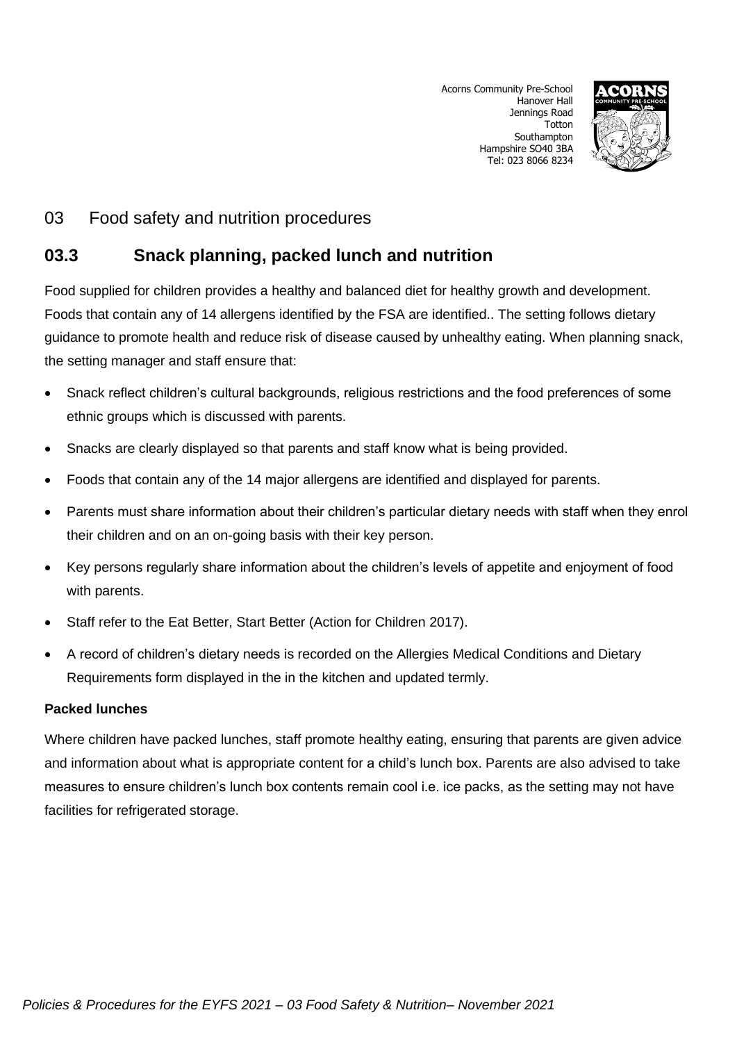Acorns Community Pre-School Hanover Hall Jennings Road **Totton** Southampton Hampshire SO40 3BA Tel: 023 8066 8234



## 03 Food safety and nutrition procedures

# **03.3 Snack planning, packed lunch and nutrition**

Food supplied for children provides a healthy and balanced diet for healthy growth and development. Foods that contain any of 14 allergens identified by the FSA are identified.. The setting follows dietary guidance to promote health and reduce risk of disease caused by unhealthy eating. When planning snack, the setting manager and staff ensure that:

- Snack reflect children's cultural backgrounds, religious restrictions and the food preferences of some ethnic groups which is discussed with parents.
- Snacks are clearly displayed so that parents and staff know what is being provided.
- Foods that contain any of the 14 major allergens are identified and displayed for parents.
- Parents must share information about their children's particular dietary needs with staff when they enrol their children and on an on-going basis with their key person.
- Key persons regularly share information about the children's levels of appetite and enjoyment of food with parents.
- Staff refer to the Eat Better, Start Better (Action for Children 2017).
- A record of children's dietary needs is recorded on the Allergies Medical Conditions and Dietary Requirements form displayed in the in the kitchen and updated termly.

### **Packed lunches**

Where children have packed lunches, staff promote healthy eating, ensuring that parents are given advice and information about what is appropriate content for a child's lunch box. Parents are also advised to take measures to ensure children's lunch box contents remain cool i.e. ice packs, as the setting may not have facilities for refrigerated storage.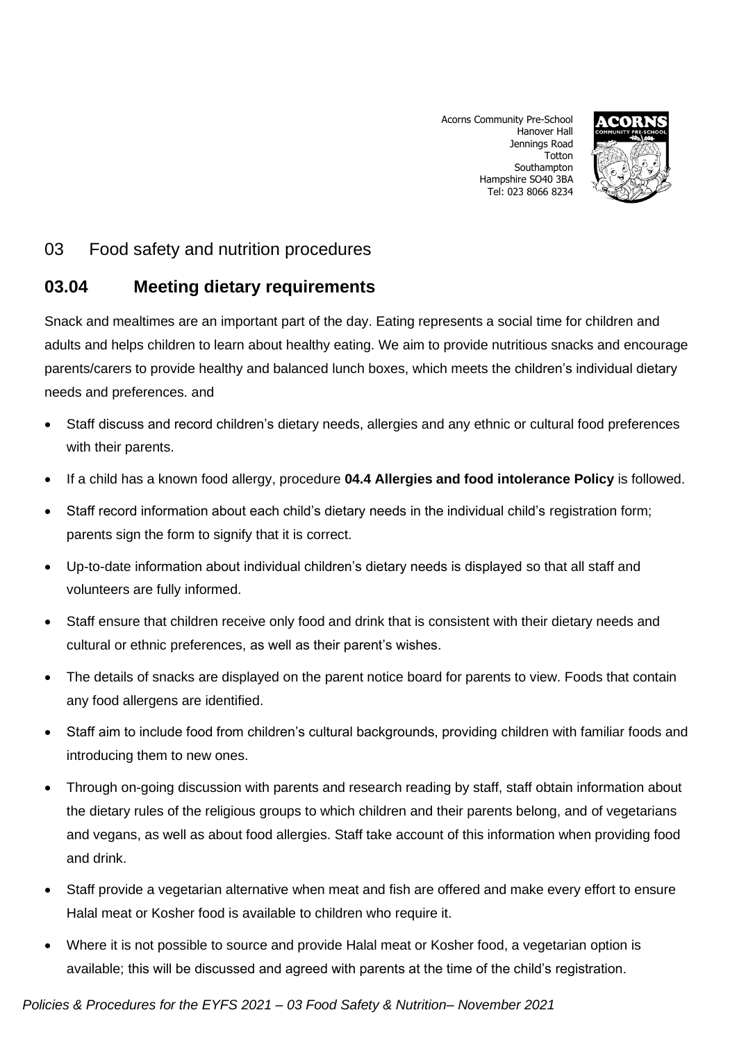Acorns Community Pre-School Hanover Hall Jennings Road **Totton** Southampton Hampshire SO40 3BA Tel: 023 8066 8234



# 03 Food safety and nutrition procedures

## **03.04 Meeting dietary requirements**

Snack and mealtimes are an important part of the day. Eating represents a social time for children and adults and helps children to learn about healthy eating. We aim to provide nutritious snacks and encourage parents/carers to provide healthy and balanced lunch boxes, which meets the children's individual dietary needs and preferences. and

- Staff discuss and record children's dietary needs, allergies and any ethnic or cultural food preferences with their parents.
- If a child has a known food allergy, procedure **04.4 Allergies and food intolerance Policy** is followed.
- Staff record information about each child's dietary needs in the individual child's registration form; parents sign the form to signify that it is correct.
- Up-to-date information about individual children's dietary needs is displayed so that all staff and volunteers are fully informed.
- Staff ensure that children receive only food and drink that is consistent with their dietary needs and cultural or ethnic preferences, as well as their parent's wishes.
- The details of snacks are displayed on the parent notice board for parents to view. Foods that contain any food allergens are identified.
- Staff aim to include food from children's cultural backgrounds, providing children with familiar foods and introducing them to new ones.
- Through on-going discussion with parents and research reading by staff, staff obtain information about the dietary rules of the religious groups to which children and their parents belong, and of vegetarians and vegans, as well as about food allergies. Staff take account of this information when providing food and drink.
- Staff provide a vegetarian alternative when meat and fish are offered and make every effort to ensure Halal meat or Kosher food is available to children who require it.
- Where it is not possible to source and provide Halal meat or Kosher food, a vegetarian option is available; this will be discussed and agreed with parents at the time of the child's registration.